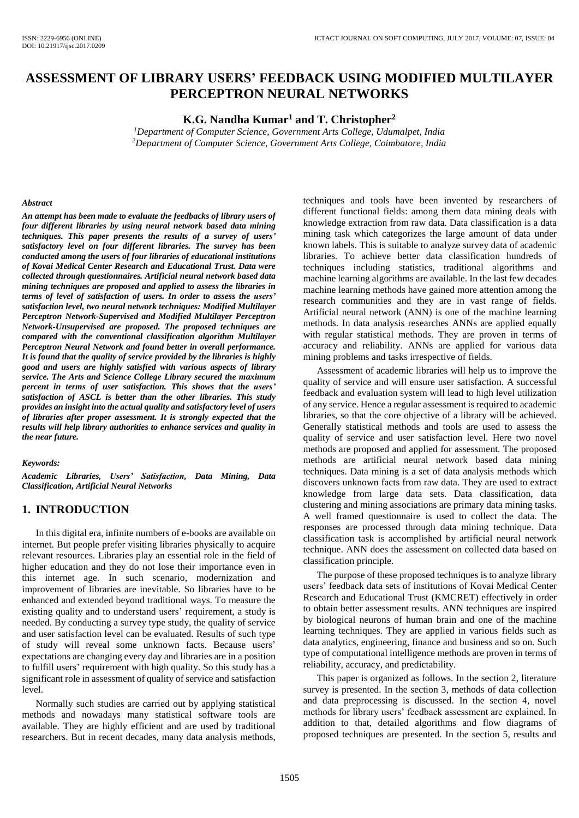# **ASSESSMENT OF LIBRARY USERS' FEEDBACK USING MODIFIED MULTILAYER PERCEPTRON NEURAL NETWORKS**

# **K.G. Nandha Kumar<sup>1</sup> and T. Christopher<sup>2</sup>**

*<sup>1</sup>Department of Computer Science, Government Arts College, Udumalpet, India <sup>2</sup>Department of Computer Science, Government Arts College, Coimbatore, India*

#### *Abstract*

*An attempt has been made to evaluate the feedbacks of library users of four different libraries by using neural network based data mining techniques. This paper presents the results of a survey of users' satisfactory level on four different libraries. The survey has been conducted among the users of four libraries of educational institutions of Kovai Medical Center Research and Educational Trust. Data were collected through questionnaires. Artificial neural network based data mining techniques are proposed and applied to assess the libraries in terms of level of satisfaction of users. In order to assess the users' satisfaction level, two neural network techniques: Modified Multilayer Perceptron Network-Supervised and Modified Multilayer Perceptron Network-Unsupervised are proposed. The proposed techniques are compared with the conventional classification algorithm Multilayer Perceptron Neural Network and found better in overall performance. It is found that the quality of service provided by the libraries is highly good and users are highly satisfied with various aspects of library service. The Arts and Science College Library secured the maximum percent in terms of user satisfaction. This shows that the users' satisfaction of ASCL is better than the other libraries. This study provides an insight into the actual quality and satisfactory level of users of libraries after proper assessment. It is strongly expected that the results will help library authorities to enhance services and quality in the near future.*

#### *Keywords:*

*Academic Libraries, Users' Satisfaction, Data Mining, Data Classification, Artificial Neural Networks*

### **1. INTRODUCTION**

In this digital era, infinite numbers of e-books are available on internet. But people prefer visiting libraries physically to acquire relevant resources. Libraries play an essential role in the field of higher education and they do not lose their importance even in this internet age. In such scenario, modernization and improvement of libraries are inevitable. So libraries have to be enhanced and extended beyond traditional ways. To measure the existing quality and to understand users' requirement, a study is needed. By conducting a survey type study, the quality of service and user satisfaction level can be evaluated. Results of such type of study will reveal some unknown facts. Because users' expectations are changing every day and libraries are in a position to fulfill users' requirement with high quality. So this study has a significant role in assessment of quality of service and satisfaction level.

Normally such studies are carried out by applying statistical methods and nowadays many statistical software tools are available. They are highly efficient and are used by traditional researchers. But in recent decades, many data analysis methods, techniques and tools have been invented by researchers of different functional fields: among them data mining deals with knowledge extraction from raw data. Data classification is a data mining task which categorizes the large amount of data under known labels. This is suitable to analyze survey data of academic libraries. To achieve better data classification hundreds of techniques including statistics, traditional algorithms and machine learning algorithms are available. In the last few decades machine learning methods have gained more attention among the research communities and they are in vast range of fields. Artificial neural network (ANN) is one of the machine learning methods. In data analysis researches ANNs are applied equally with regular statistical methods. They are proven in terms of accuracy and reliability. ANNs are applied for various data mining problems and tasks irrespective of fields.

Assessment of academic libraries will help us to improve the quality of service and will ensure user satisfaction. A successful feedback and evaluation system will lead to high level utilization of any service. Hence a regular assessment isrequired to academic libraries, so that the core objective of a library will be achieved. Generally statistical methods and tools are used to assess the quality of service and user satisfaction level. Here two novel methods are proposed and applied for assessment. The proposed methods are artificial neural network based data mining techniques. Data mining is a set of data analysis methods which discovers unknown facts from raw data. They are used to extract knowledge from large data sets. Data classification, data clustering and mining associations are primary data mining tasks. A well framed questionnaire is used to collect the data. The responses are processed through data mining technique. Data classification task is accomplished by artificial neural network technique. ANN does the assessment on collected data based on classification principle.

The purpose of these proposed techniques is to analyze library users' feedback data sets of institutions of Kovai Medical Center Research and Educational Trust (KMCRET) effectively in order to obtain better assessment results. ANN techniques are inspired by biological neurons of human brain and one of the machine learning techniques. They are applied in various fields such as data analytics, engineering, finance and business and so on. Such type of computational intelligence methods are proven in terms of reliability, accuracy, and predictability.

This paper is organized as follows. In the section 2, literature survey is presented. In the section 3, methods of data collection and data preprocessing is discussed. In the section 4, novel methods for library users' feedback assessment are explained. In addition to that, detailed algorithms and flow diagrams of proposed techniques are presented. In the section 5, results and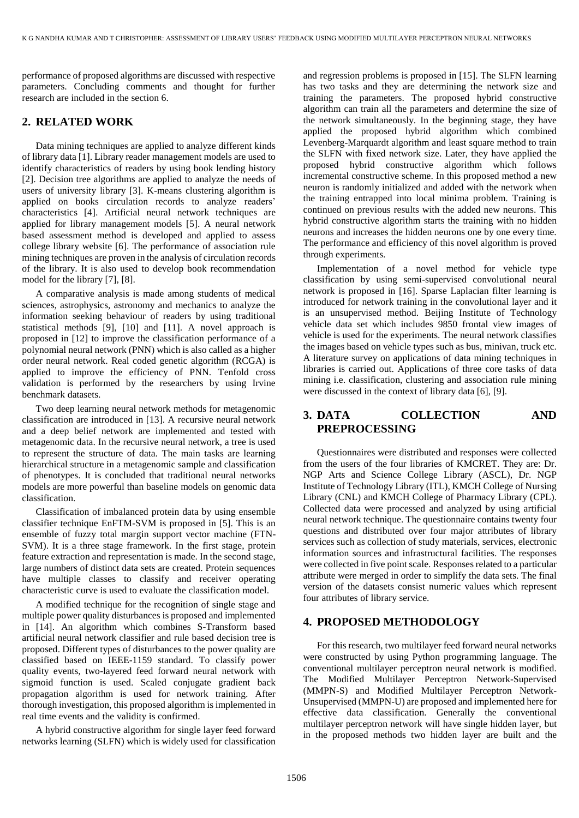performance of proposed algorithms are discussed with respective parameters. Concluding comments and thought for further research are included in the section 6.

# **2. RELATED WORK**

Data mining techniques are applied to analyze different kinds of library data [1]. Library reader management models are used to identify characteristics of readers by using book lending history [2]. Decision tree algorithms are applied to analyze the needs of users of university library [3]. K-means clustering algorithm is applied on books circulation records to analyze readers' characteristics [4]. Artificial neural network techniques are applied for library management models [5]. A neural network based assessment method is developed and applied to assess college library website [6]. The performance of association rule mining techniques are proven in the analysis of circulation records of the library. It is also used to develop book recommendation model for the library [7], [8].

A comparative analysis is made among students of medical sciences, astrophysics, astronomy and mechanics to analyze the information seeking behaviour of readers by using traditional statistical methods [9], [10] and [11]. A novel approach is proposed in [12] to improve the classification performance of a polynomial neural network (PNN) which is also called as a higher order neural network. Real coded genetic algorithm (RCGA) is applied to improve the efficiency of PNN. Tenfold cross validation is performed by the researchers by using Irvine benchmark datasets.

Two deep learning neural network methods for metagenomic classification are introduced in [13]. A recursive neural network and a deep belief network are implemented and tested with metagenomic data. In the recursive neural network, a tree is used to represent the structure of data. The main tasks are learning hierarchical structure in a metagenomic sample and classification of phenotypes. It is concluded that traditional neural networks models are more powerful than baseline models on genomic data classification.

Classification of imbalanced protein data by using ensemble classifier technique EnFTM-SVM is proposed in [5]. This is an ensemble of fuzzy total margin support vector machine (FTN-SVM). It is a three stage framework. In the first stage, protein feature extraction and representation is made. In the second stage, large numbers of distinct data sets are created. Protein sequences have multiple classes to classify and receiver operating characteristic curve is used to evaluate the classification model.

A modified technique for the recognition of single stage and multiple power quality disturbances is proposed and implemented in [14]. An algorithm which combines S-Transform based artificial neural network classifier and rule based decision tree is proposed. Different types of disturbances to the power quality are classified based on IEEE-1159 standard. To classify power quality events, two-layered feed forward neural network with sigmoid function is used. Scaled conjugate gradient back propagation algorithm is used for network training. After thorough investigation, this proposed algorithm is implemented in real time events and the validity is confirmed.

A hybrid constructive algorithm for single layer feed forward networks learning (SLFN) which is widely used for classification and regression problems is proposed in [15]. The SLFN learning has two tasks and they are determining the network size and training the parameters. The proposed hybrid constructive algorithm can train all the parameters and determine the size of the network simultaneously. In the beginning stage, they have applied the proposed hybrid algorithm which combined Levenberg-Marquardt algorithm and least square method to train the SLFN with fixed network size. Later, they have applied the proposed hybrid constructive algorithm which follows incremental constructive scheme. In this proposed method a new neuron is randomly initialized and added with the network when the training entrapped into local minima problem. Training is continued on previous results with the added new neurons. This hybrid constructive algorithm starts the training with no hidden neurons and increases the hidden neurons one by one every time. The performance and efficiency of this novel algorithm is proved through experiments.

Implementation of a novel method for vehicle type classification by using semi-supervised convolutional neural network is proposed in [16]. Sparse Laplacian filter learning is introduced for network training in the convolutional layer and it is an unsupervised method. Beijing Institute of Technology vehicle data set which includes 9850 frontal view images of vehicle is used for the experiments. The neural network classifies the images based on vehicle types such as bus, minivan, truck etc. A literature survey on applications of data mining techniques in libraries is carried out. Applications of three core tasks of data mining i.e. classification, clustering and association rule mining were discussed in the context of library data [6], [9].

# **3. DATA COLLECTION AND PREPROCESSING**

Questionnaires were distributed and responses were collected from the users of the four libraries of KMCRET. They are: Dr. NGP Arts and Science College Library (ASCL), Dr. NGP Institute of Technology Library (ITL), KMCH College of Nursing Library (CNL) and KMCH College of Pharmacy Library (CPL). Collected data were processed and analyzed by using artificial neural network technique. The questionnaire contains twenty four questions and distributed over four major attributes of library services such as collection of study materials, services, electronic information sources and infrastructural facilities. The responses were collected in five point scale. Responses related to a particular attribute were merged in order to simplify the data sets. The final version of the datasets consist numeric values which represent four attributes of library service.

# **4. PROPOSED METHODOLOGY**

For this research, two multilayer feed forward neural networks were constructed by using Python programming language. The conventional multilayer perceptron neural network is modified. The Modified Multilayer Perceptron Network-Supervised (MMPN-S) and Modified Multilayer Perceptron Network-Unsupervised (MMPN-U) are proposed and implemented here for effective data classification. Generally the conventional multilayer perceptron network will have single hidden layer, but in the proposed methods two hidden layer are built and the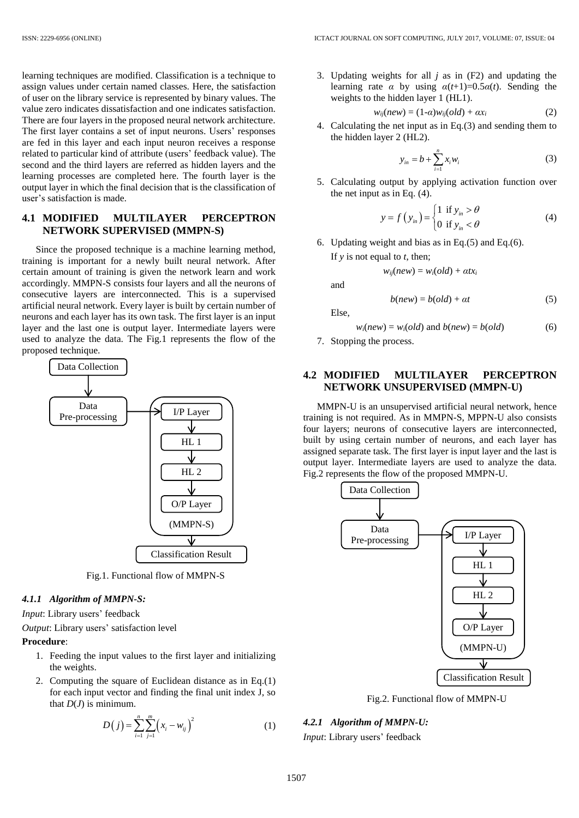learning techniques are modified. Classification is a technique to assign values under certain named classes. Here, the satisfaction of user on the library service is represented by binary values. The value zero indicates dissatisfaction and one indicates satisfaction. There are four layers in the proposed neural network architecture. The first layer contains a set of input neurons. Users' responses are fed in this layer and each input neuron receives a response related to particular kind of attribute (users' feedback value). The second and the third layers are referred as hidden layers and the learning processes are completed here. The fourth layer is the output layer in which the final decision that is the classification of user's satisfaction is made.

# **4.1 MODIFIED MULTILAYER PERCEPTRON NETWORK SUPERVISED (MMPN-S)**

Since the proposed technique is a machine learning method, training is important for a newly built neural network. After certain amount of training is given the network learn and work accordingly. MMPN-S consists four layers and all the neurons of consecutive layers are interconnected. This is a supervised artificial neural network. Every layer is built by certain number of neurons and each layer has its own task. The first layer is an input layer and the last one is output layer. Intermediate layers were used to analyze the data. The Fig.1 represents the flow of the proposed technique.



Fig.1. Functional flow of MMPN-S

#### *4.1.1 Algorithm of MMPN-S:*

*Input*: Library users' feedback

*Output*: Library users' satisfaction level

#### **Procedure**:

- 1. Feeding the input values to the first layer and initializing the weights.
- 2. Computing the square of Euclidean distance as in Eq.(1) for each input vector and finding the final unit index J, so that  $D$ ( $J$ ) is minimum.

$$
D(j) = \sum_{i=1}^{n} \sum_{j=1}^{m} (x_i - w_{ij})^2
$$
 (1)

3. Updating weights for all *j* as in (F2) and updating the learning rate  $\alpha$  by using  $\alpha(t+1)=0.5\alpha(t)$ . Sending the weights to the hidden layer 1 (HL1).

$$
w_{ij}(new) = (1-\alpha)w_{ij}(old) + \alpha x_i \tag{2}
$$

4. Calculating the net input as in Eq.(3) and sending them to the hidden layer 2 (HL2).

$$
y_{in} = b + \sum_{i=1}^{n} x_i w_i
$$
 (3)

5. Calculating output by applying activation function over the net input as in Eq. (4).

$$
y = f(y_m) = \begin{cases} 1 & \text{if } y_m > \theta \\ 0 & \text{if } y_m < \theta \end{cases}
$$
 (4)

6. Updating weight and bias as in Eq.(5) and Eq.(6). If *y* is not equal to *t*, then;

 $w_{ij}(new) = w_i(old) + \alpha t x_i$ 

and

$$
b(new) = b(old) + \alpha t \tag{5}
$$

Else,

$$
w_i(new) = w_i(old) \text{ and } b(new) = b(old) \tag{6}
$$

7. Stopping the process.

# **4.2 MODIFIED MULTILAYER PERCEPTRON NETWORK UNSUPERVISED (MMPN-U)**

MMPN-U is an unsupervised artificial neural network, hence training is not required. As in MMPN-S, MPPN-U also consists four layers; neurons of consecutive layers are interconnected, built by using certain number of neurons, and each layer has assigned separate task. The first layer is input layer and the last is output layer. Intermediate layers are used to analyze the data. Fig.2 represents the flow of the proposed MMPN-U.



Fig.2. Functional flow of MMPN-U

#### *4.2.1 Algorithm of MMPN-U:*

*Input*: Library users' feedback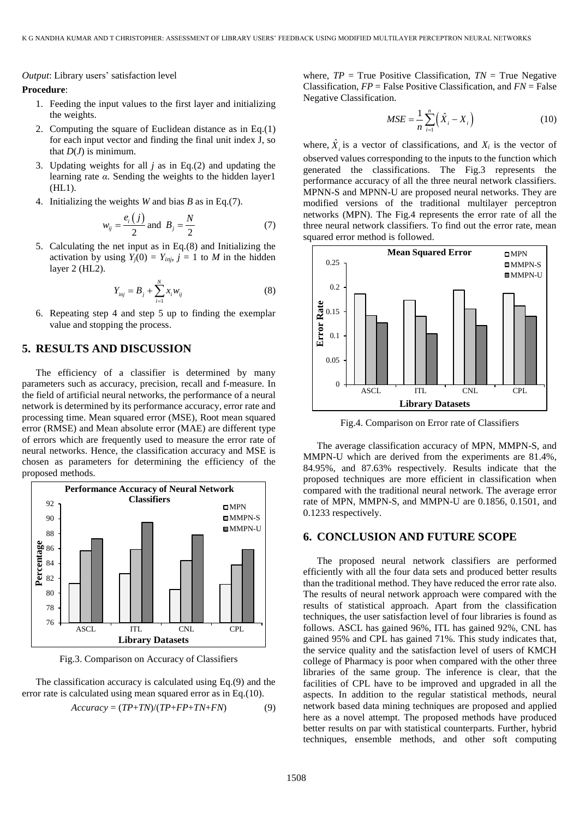*Output*: Library users' satisfaction level

#### **Procedure**:

- 1. Feeding the input values to the first layer and initializing the weights.
- 2. Computing the square of Euclidean distance as in Eq.(1) for each input vector and finding the final unit index J, so that  $D(J)$  is minimum.
- 3. Updating weights for all *j* as in Eq.(2) and updating the learning rate *α*. Sending the weights to the hidden layer1 (HL1).
- 4. Initializing the weights *W* and bias *B* as in Eq.(7).

$$
w_{ij} = \frac{e_i(j)}{2} \text{ and } B_j = \frac{N}{2} \tag{7}
$$

5. Calculating the net input as in Eq.(8) and Initializing the activation by using  $Y_j(0) = Y_{inj}$ ,  $j = 1$  to *M* in the hidden layer 2 (HL2).

$$
Y_{inj} = B_j + \sum_{i=1}^{N} x_i w_{ij}
$$
 (8)

6. Repeating step 4 and step 5 up to finding the exemplar value and stopping the process.

# **5. RESULTS AND DISCUSSION**

The efficiency of a classifier is determined by many parameters such as accuracy, precision, recall and f-measure. In the field of artificial neural networks, the performance of a neural network is determined by its performance accuracy, error rate and processing time. Mean squared error (MSE), Root mean squared error (RMSE) and Mean absolute error (MAE) are different type of errors which are frequently used to measure the error rate of neural networks. Hence, the classification accuracy and MSE is chosen as parameters for determining the efficiency of the proposed methods.



Fig.3. Comparison on Accuracy of Classifiers

The classification accuracy is calculated using Eq.(9) and the error rate is calculated using mean squared error as in Eq.(10).

$$
Accuracy = (TP+TN)/(TP+FP+TN+FN)
$$
 (9)

where,  $TP = True$  Positive Classification,  $TN = True$  Negative Classification, *FP* = False Positive Classification, and *FN* = False Negative Classification.

$$
MSE = \frac{1}{n} \sum_{i=1}^{n} (\hat{X}_i - X_i)
$$
 (10)

where,  $\hat{X}_i$  is a vector of classifications, and  $X_i$  is the vector of observed values corresponding to the inputs to the function which generated the classifications. The Fig.3 represents the performance accuracy of all the three neural network classifiers. MPNN-S and MPNN-U are proposed neural networks. They are modified versions of the traditional multilayer perceptron networks (MPN). The Fig.4 represents the error rate of all the three neural network classifiers. To find out the error rate, mean squared error method is followed.



Fig.4. Comparison on Error rate of Classifiers

The average classification accuracy of MPN, MMPN-S, and MMPN-U which are derived from the experiments are 81.4%, 84.95%, and 87.63% respectively. Results indicate that the proposed techniques are more efficient in classification when compared with the traditional neural network. The average error rate of MPN, MMPN-S, and MMPN-U are 0.1856, 0.1501, and 0.1233 respectively.

### **6. CONCLUSION AND FUTURE SCOPE**

The proposed neural network classifiers are performed efficiently with all the four data sets and produced better results than the traditional method. They have reduced the error rate also. The results of neural network approach were compared with the results of statistical approach. Apart from the classification techniques, the user satisfaction level of four libraries is found as follows. ASCL has gained 96%, ITL has gained 92%, CNL has gained 95% and CPL has gained 71%. This study indicates that, the service quality and the satisfaction level of users of KMCH college of Pharmacy is poor when compared with the other three libraries of the same group. The inference is clear, that the facilities of CPL have to be improved and upgraded in all the aspects. In addition to the regular statistical methods, neural network based data mining techniques are proposed and applied here as a novel attempt. The proposed methods have produced better results on par with statistical counterparts. Further, hybrid techniques, ensemble methods, and other soft computing